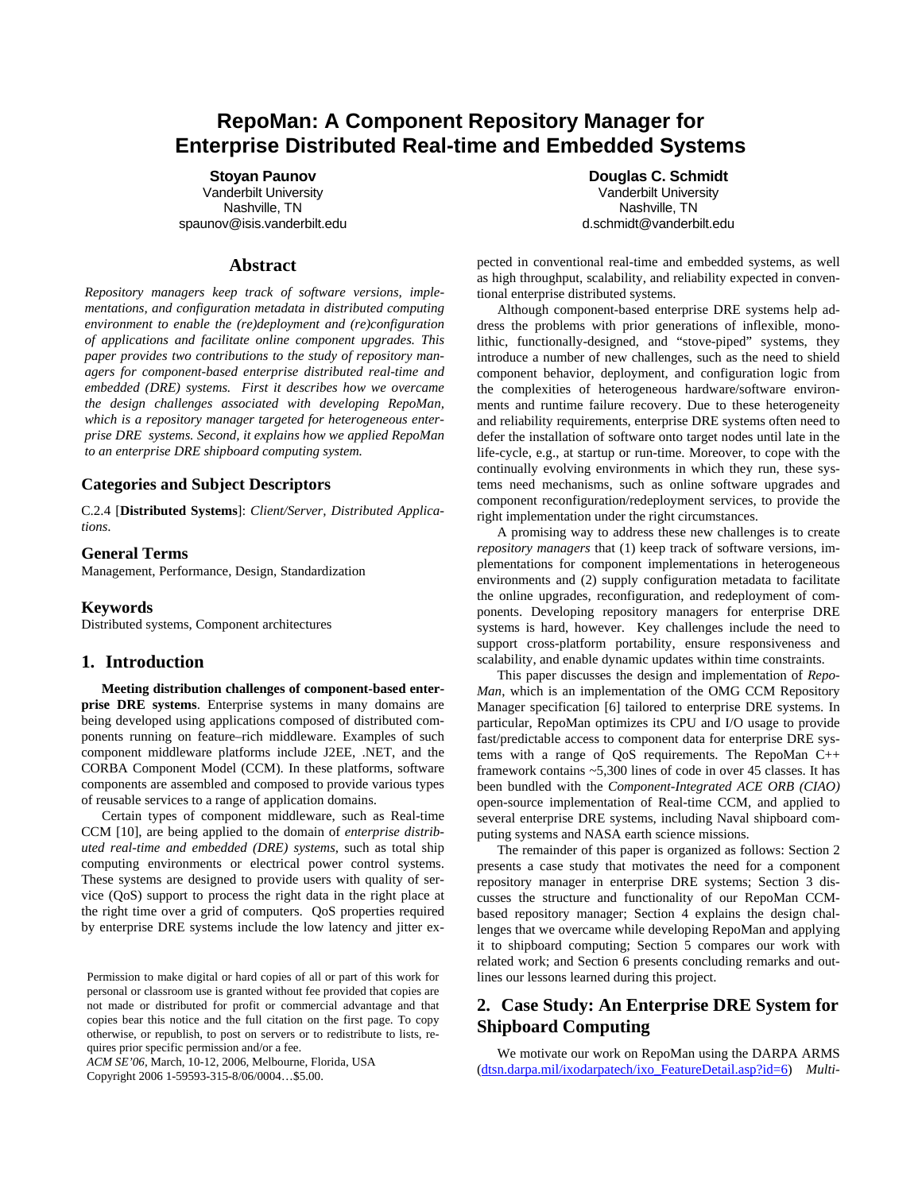# **RepoMan: A Component Repository Manager for Enterprise Distributed Real-time and Embedded Systems**

**Stoyan Paunov**  Vanderbilt University Nashville, TN spaunov@isis.vanderbilt.edu

#### **Abstract**

*Repository managers keep track of software versions, implementations, and configuration metadata in distributed computing environment to enable the (re)deployment and (re)configuration of applications and facilitate online component upgrades. This paper provides two contributions to the study of repository managers for component-based enterprise distributed real-time and embedded (DRE) systems. First it describes how we overcame the design challenges associated with developing RepoMan, which is a repository manager targeted for heterogeneous enterprise DRE systems. Second, it explains how we applied RepoMan to an enterprise DRE shipboard computing system.*

#### **Categories and Subject Descriptors**

C.2.4 [**Distributed Systems**]: *Client/Server, Distributed Applications*.

#### **General Terms**

Management, Performance, Design, Standardization

#### **Keywords**

Distributed systems, Component architectures

## **1. Introduction**

**Meeting distribution challenges of component-based enterprise DRE systems**. Enterprise systems in many domains are being developed using applications composed of distributed components running on feature–rich middleware. Examples of such component middleware platforms include J2EE, .NET, and the CORBA Component Model (CCM). In these platforms, software components are assembled and composed to provide various types of reusable services to a range of application domains.

Certain types of component middleware, such as Real-time CCM [10], are being applied to the domain of *enterprise distributed real-time and embedded (DRE) systems*, such as total ship computing environments or electrical power control systems. These systems are designed to provide users with quality of service (QoS) support to process the right data in the right place at the right time over a grid of computers. QoS properties required by enterprise DRE systems include the low latency and jitter ex-

quires prior specific permission and/or a fee.<br>ACM SE'06, March, 10-12, 2006, Melbourne, Florida, USA Copyright 2006 1-59593-315-8/06/0004…\$5.00.

**Douglas C. Schmidt**  Vanderbilt University Nashville, TN d.schmidt@vanderbilt.edu

pected in conventional real-time and embedded systems, as well as high throughput, scalability, and reliability expected in conventional enterprise distributed systems.

Although component-based enterprise DRE systems help address the problems with prior generations of inflexible, monolithic, functionally-designed, and "stove-piped" systems, they introduce a number of new challenges, such as the need to shield component behavior, deployment, and configuration logic from the complexities of heterogeneous hardware/software environments and runtime failure recovery. Due to these heterogeneity and reliability requirements, enterprise DRE systems often need to defer the installation of software onto target nodes until late in the life-cycle, e.g., at startup or run-time. Moreover, to cope with the continually evolving environments in which they run, these systems need mechanisms, such as online software upgrades and component reconfiguration/redeployment services, to provide the right implementation under the right circumstances.

A promising way to address these new challenges is to create *repository managers* that (1) keep track of software versions, implementations for component implementations in heterogeneous environments and (2) supply configuration metadata to facilitate the online upgrades, reconfiguration, and redeployment of components. Developing repository managers for enterprise DRE systems is hard, however. Key challenges include the need to support cross-platform portability, ensure responsiveness and scalability, and enable dynamic updates within time constraints.

This paper discusses the design and implementation of *Repo-Man*, which is an implementation of the OMG CCM Repository Manager specification [6] tailored to enterprise DRE systems. In particular, RepoMan optimizes its CPU and I/O usage to provide fast/predictable access to component data for enterprise DRE systems with a range of QoS requirements. The RepoMan C++ framework contains ~5,300 lines of code in over 45 classes. It has been bundled with the *Component-Integrated ACE ORB (CIAO)* open-source implementation of Real-time CCM, and applied to several enterprise DRE systems, including Naval shipboard computing systems and NASA earth science missions.

The remainder of this paper is organized as follows: Section 2 presents a case study that motivates the need for a component repository manager in enterprise DRE systems; Section 3 discusses the structure and functionality of our RepoMan CCMbased repository manager; Section 4 explains the design challenges that we overcame while developing RepoMan and applying it to shipboard computing; Section 5 compares our work with related work; and Section 6 presents concluding remarks and out-

## **2. Case Study: An Enterprise DRE System for Shipboard Computing**

We motivate our work on RepoMan using the DARPA ARMS (dtsn.darpa.mil/ixodarpatech/ixo<sup>T</sup>eatureDetail.asp?id=6) *Multi-*

Permission to make digital or hard copies of all or part of this work for lines our lessons learned during this project. personal or classroom use is granted without fee provided that copies are not made or distributed for profit or commercial advantage and that copies bear this notice and the full citation on the first page. To copy otherwise, or republish, to post on servers or to redistribute to lists, re-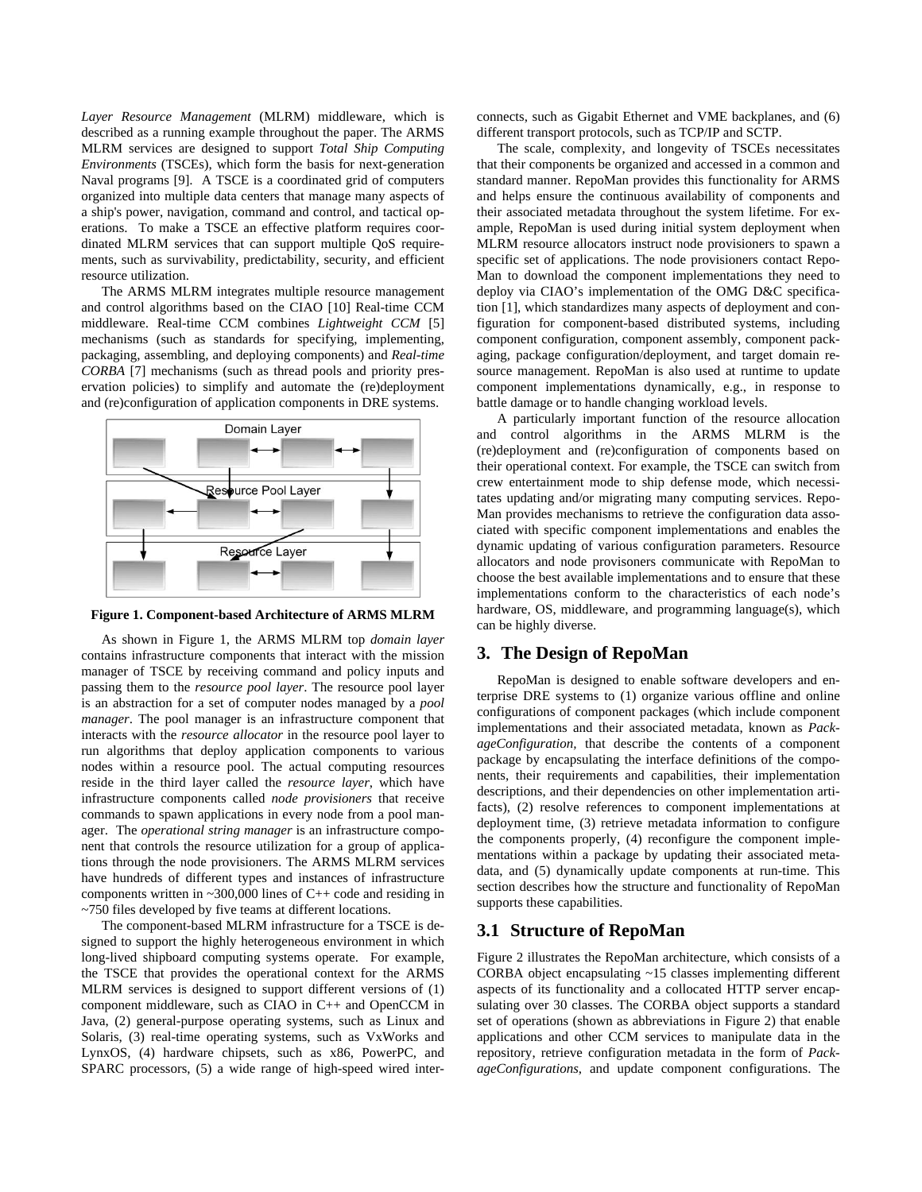*Layer Resource Management* (MLRM) middleware, which is described as a running example throughout the paper. The ARMS MLRM services are designed to support *Total Ship Computing Environments* (TSCEs), which form the basis for next-generation Naval programs [9]. A TSCE is a coordinated grid of computers organized into multiple data centers that manage many aspects of a ship's power, navigation, command and control, and tactical operations. To make a TSCE an effective platform requires coordinated MLRM services that can support multiple QoS requirements, such as survivability, predictability, security, and efficient resource utilization.

The ARMS MLRM integrates multiple resource management and control algorithms based on the CIAO [10] Real-time CCM middleware. Real-time CCM combines *Lightweight CCM* [5] mechanisms (such as standards for specifying, implementing, packaging, assembling, and deploying components) and *Real-time CORBA* [7] mechanisms (such as thread pools and priority preservation policies) to simplify and automate the (re)deployment and (re)configuration of application components in DRE systems.



**Figure 1. Component-based Architecture of ARMS MLRM** 

As shown in Figure 1, the ARMS MLRM top *domain layer* contains infrastructure components that interact with the mission manager of TSCE by receiving command and policy inputs and passing them to the *resource pool layer*. The resource pool layer is an abstraction for a set of computer nodes managed by a *pool manager*. The pool manager is an infrastructure component that interacts with the *resource allocator* in the resource pool layer to run algorithms that deploy application components to various nodes within a resource pool. The actual computing resources reside in the third layer called the *resource layer*, which have infrastructure components called *node provisioners* that receive commands to spawn applications in every node from a pool manager. The *operational string manager* is an infrastructure component that controls the resource utilization for a group of applications through the node provisioners. The ARMS MLRM services have hundreds of different types and instances of infrastructure components written in  $\sim$ 300,000 lines of C++ code and residing in ~750 files developed by five teams at different locations.

The component-based MLRM infrastructure for a TSCE is designed to support the highly heterogeneous environment in which long-lived shipboard computing systems operate. For example, the TSCE that provides the operational context for the ARMS MLRM services is designed to support different versions of (1) component middleware, such as CIAO in C++ and OpenCCM in Java, (2) general-purpose operating systems, such as Linux and Solaris, (3) real-time operating systems, such as VxWorks and LynxOS, (4) hardware chipsets, such as x86, PowerPC, and SPARC processors, (5) a wide range of high-speed wired interconnects, such as Gigabit Ethernet and VME backplanes, and (6) different transport protocols, such as TCP/IP and SCTP.

The scale, complexity, and longevity of TSCEs necessitates that their components be organized and accessed in a common and standard manner. RepoMan provides this functionality for ARMS and helps ensure the continuous availability of components and their associated metadata throughout the system lifetime. For example, RepoMan is used during initial system deployment when MLRM resource allocators instruct node provisioners to spawn a specific set of applications. The node provisioners contact Repo-Man to download the component implementations they need to deploy via CIAO's implementation of the OMG D&C specification [1], which standardizes many aspects of deployment and configuration for component-based distributed systems, including component configuration, component assembly, component packaging, package configuration/deployment, and target domain resource management. RepoMan is also used at runtime to update component implementations dynamically, e.g., in response to battle damage or to handle changing workload levels.

A particularly important function of the resource allocation and control algorithms in the ARMS MLRM is the (re)deployment and (re)configuration of components based on their operational context. For example, the TSCE can switch from crew entertainment mode to ship defense mode, which necessitates updating and/or migrating many computing services. Repo-Man provides mechanisms to retrieve the configuration data associated with specific component implementations and enables the dynamic updating of various configuration parameters. Resource allocators and node provisoners communicate with RepoMan to choose the best available implementations and to ensure that these implementations conform to the characteristics of each node's hardware, OS, middleware, and programming language(s), which can be highly diverse.

## **3. The Design of RepoMan**

RepoMan is designed to enable software developers and enterprise DRE systems to (1) organize various offline and online configurations of component packages (which include component implementations and their associated metadata, known as *PackageConfiguration,* that describe the contents of a component package by encapsulating the interface definitions of the components, their requirements and capabilities, their implementation descriptions, and their dependencies on other implementation artifacts), (2) resolve references to component implementations at deployment time, (3) retrieve metadata information to configure the components properly, (4) reconfigure the component implementations within a package by updating their associated metadata, and (5) dynamically update components at run-time. This section describes how the structure and functionality of RepoMan supports these capabilities.

## **3.1 Structure of RepoMan**

Figure 2 illustrates the RepoMan architecture, which consists of a CORBA object encapsulating ~15 classes implementing different aspects of its functionality and a collocated HTTP server encapsulating over 30 classes. The CORBA object supports a standard set of operations (shown as abbreviations in Figure 2) that enable applications and other CCM services to manipulate data in the repository, retrieve configuration metadata in the form of *PackageConfigurations*, and update component configurations. The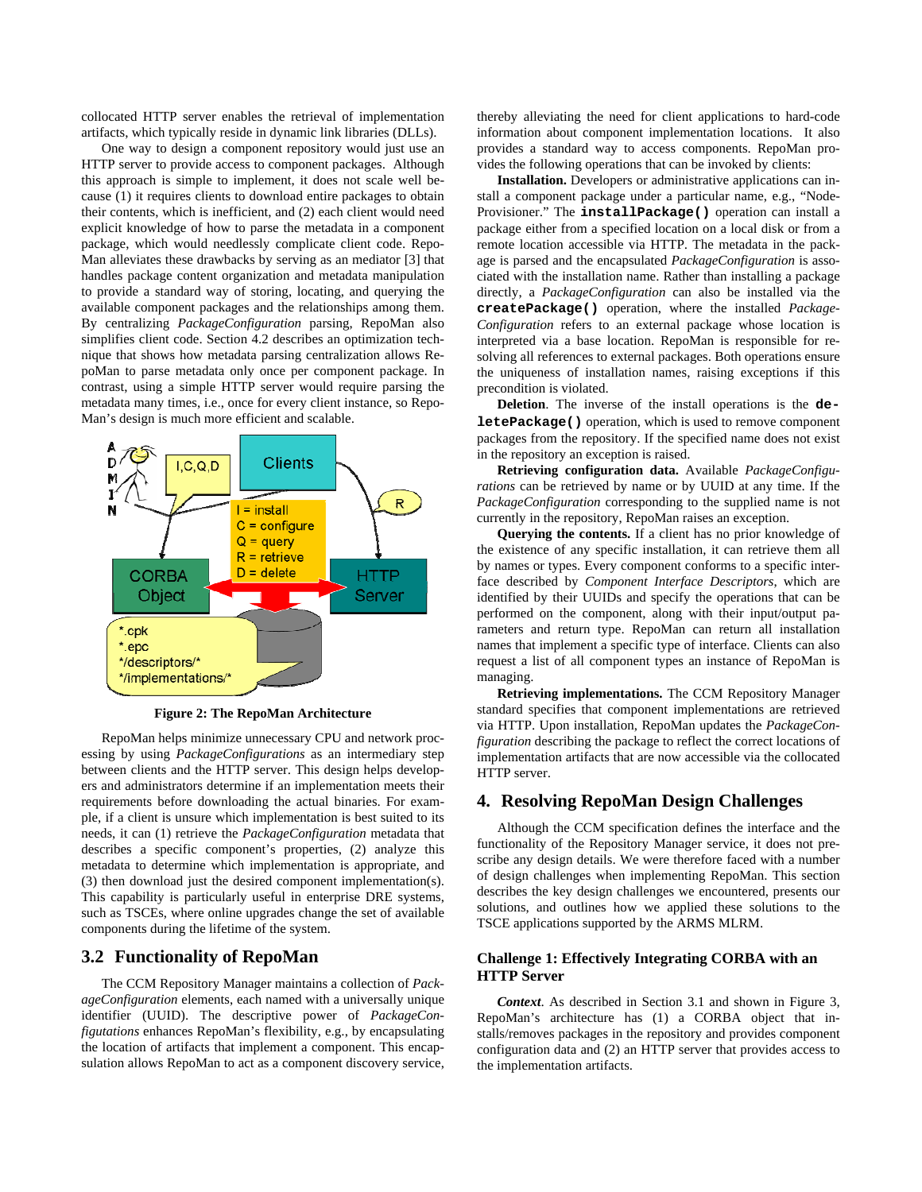collocated HTTP server enables the retrieval of implementation artifacts, which typically reside in dynamic link libraries (DLLs).

One way to design a component repository would just use an HTTP server to provide access to component packages. Although this approach is simple to implement, it does not scale well because (1) it requires clients to download entire packages to obtain their contents, which is inefficient, and (2) each client would need explicit knowledge of how to parse the metadata in a component package, which would needlessly complicate client code. Repo-Man alleviates these drawbacks by serving as an mediator [3] that handles package content organization and metadata manipulation to provide a standard way of storing, locating, and querying the available component packages and the relationships among them. By centralizing *PackageConfiguration* parsing, RepoMan also simplifies client code. Section 4.2 describes an optimization technique that shows how metadata parsing centralization allows RepoMan to parse metadata only once per component package. In contrast, using a simple HTTP server would require parsing the metadata many times, i.e., once for every client instance, so Repo-Man's design is much more efficient and scalable.



**Figure 2: The RepoMan Architecture** 

RepoMan helps minimize unnecessary CPU and network processing by using *PackageConfigurations* as an intermediary step between clients and the HTTP server. This design helps developers and administrators determine if an implementation meets their requirements before downloading the actual binaries. For example, if a client is unsure which implementation is best suited to its needs, it can (1) retrieve the *PackageConfiguration* metadata that describes a specific component's properties, (2) analyze this metadata to determine which implementation is appropriate, and (3) then download just the desired component implementation(s). This capability is particularly useful in enterprise DRE systems, such as TSCEs, where online upgrades change the set of available components during the lifetime of the system.

#### **3.2 Functionality of RepoMan**

The CCM Repository Manager maintains a collection of *PackageConfiguration* elements, each named with a universally unique identifier (UUID). The descriptive power of *PackageConfigutations* enhances RepoMan's flexibility, e.g., by encapsulating the location of artifacts that implement a component. This encapsulation allows RepoMan to act as a component discovery service, thereby alleviating the need for client applications to hard-code information about component implementation locations. It also provides a standard way to access components. RepoMan provides the following operations that can be invoked by clients:

**Installation.** Developers or administrative applications can install a component package under a particular name, e.g., "Node-Provisioner." The **installPackage()** operation can install a package either from a specified location on a local disk or from a remote location accessible via HTTP. The metadata in the package is parsed and the encapsulated *PackageConfiguration* is associated with the installation name. Rather than installing a package directly, a *PackageConfiguration* can also be installed via the **createPackage()** operation, where the installed *Package-Configuration* refers to an external package whose location is interpreted via a base location. RepoMan is responsible for resolving all references to external packages. Both operations ensure the uniqueness of installation names, raising exceptions if this precondition is violated.

**Deletion**. The inverse of the install operations is the **deletePackage()** operation, which is used to remove component packages from the repository. If the specified name does not exist in the repository an exception is raised.

**Retrieving configuration data.** Available *PackageConfigurations* can be retrieved by name or by UUID at any time. If the *PackageConfiguration* corresponding to the supplied name is not currently in the repository, RepoMan raises an exception.

**Querying the contents.** If a client has no prior knowledge of the existence of any specific installation, it can retrieve them all by names or types. Every component conforms to a specific interface described by *Component Interface Descriptors*, which are identified by their UUIDs and specify the operations that can be performed on the component, along with their input/output parameters and return type. RepoMan can return all installation names that implement a specific type of interface. Clients can also request a list of all component types an instance of RepoMan is managing.

**Retrieving implementations.** The CCM Repository Manager standard specifies that component implementations are retrieved via HTTP. Upon installation, RepoMan updates the *PackageConfiguration* describing the package to reflect the correct locations of implementation artifacts that are now accessible via the collocated HTTP server.

#### **4. Resolving RepoMan Design Challenges**

Although the CCM specification defines the interface and the functionality of the Repository Manager service, it does not prescribe any design details. We were therefore faced with a number of design challenges when implementing RepoMan. This section describes the key design challenges we encountered, presents our solutions, and outlines how we applied these solutions to the TSCE applications supported by the ARMS MLRM.

#### **Challenge 1: Effectively Integrating CORBA with an HTTP Server**

*Context*. As described in Section 3.1 and shown in Figure 3, RepoMan's architecture has (1) a CORBA object that installs/removes packages in the repository and provides component configuration data and (2) an HTTP server that provides access to the implementation artifacts.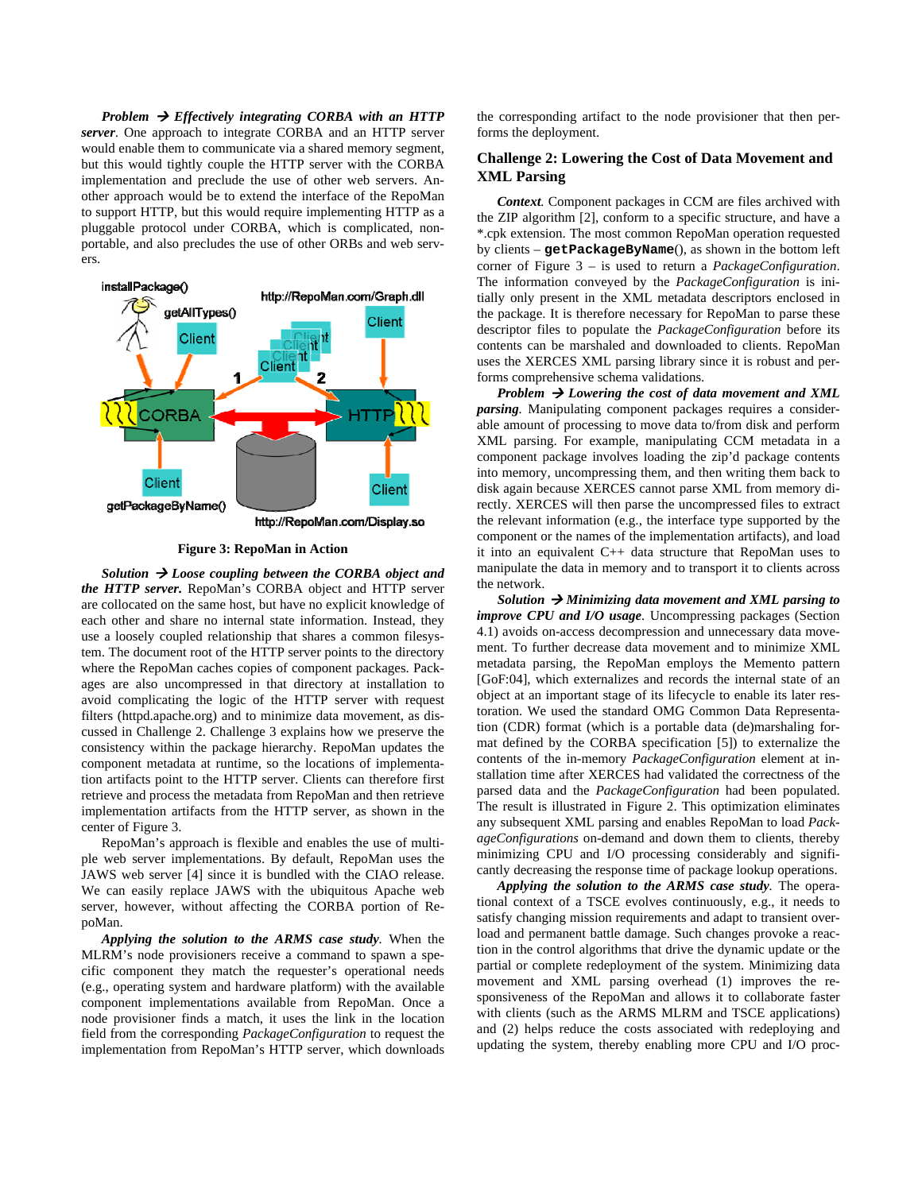*Problem*  $\rightarrow$  *Effectively integrating CORBA with an HTTP server*. One approach to integrate CORBA and an HTTP server would enable them to communicate via a shared memory segment, but this would tightly couple the HTTP server with the CORBA implementation and preclude the use of other web servers. Another approach would be to extend the interface of the RepoMan to support HTTP, but this would require implementing HTTP as a pluggable protocol under CORBA, which is complicated, nonportable, and also precludes the use of other ORBs and web servers.



**Figure 3: RepoMan in Action** 

*Solution*  $\rightarrow$  *Loose coupling between the CORBA object and the HTTP server.* RepoMan's CORBA object and HTTP server are collocated on the same host, but have no explicit knowledge of each other and share no internal state information. Instead, they use a loosely coupled relationship that shares a common filesystem. The document root of the HTTP server points to the directory where the RepoMan caches copies of component packages. Packages are also uncompressed in that directory at installation to avoid complicating the logic of the HTTP server with request filters (httpd.apache.org) and to minimize data movement, as discussed in Challenge 2. Challenge 3 explains how we preserve the consistency within the package hierarchy. RepoMan updates the component metadata at runtime, so the locations of implementation artifacts point to the HTTP server. Clients can therefore first retrieve and process the metadata from RepoMan and then retrieve implementation artifacts from the HTTP server, as shown in the center of Figure 3.

RepoMan's approach is flexible and enables the use of multiple web server implementations. By default, RepoMan uses the JAWS web server [4] since it is bundled with the CIAO release. We can easily replace JAWS with the ubiquitous Apache web server, however, without affecting the CORBA portion of RepoMan.

*Applying the solution to the ARMS case study.* When the MLRM's node provisioners receive a command to spawn a specific component they match the requester's operational needs (e.g., operating system and hardware platform) with the available component implementations available from RepoMan. Once a node provisioner finds a match, it uses the link in the location field from the corresponding *PackageConfiguration* to request the implementation from RepoMan's HTTP server, which downloads the corresponding artifact to the node provisioner that then performs the deployment.

#### **Challenge 2: Lowering the Cost of Data Movement and XML Parsing**

*Context.* Component packages in CCM are files archived with the ZIP algorithm [2], conform to a specific structure, and have a \*.cpk extension. The most common RepoMan operation requested by clients – **getPackageByName**(), as shown in the bottom left corner of Figure 3 – is used to return a *PackageConfiguration*. The information conveyed by the *PackageConfiguration* is initially only present in the XML metadata descriptors enclosed in the package. It is therefore necessary for RepoMan to parse these descriptor files to populate the *PackageConfiguration* before its contents can be marshaled and downloaded to clients. RepoMan uses the XERCES XML parsing library since it is robust and performs comprehensive schema validations.

*Problem*  $\rightarrow$  *Lowering the cost of data movement and XML parsing.* Manipulating component packages requires a considerable amount of processing to move data to/from disk and perform XML parsing. For example, manipulating CCM metadata in a component package involves loading the zip'd package contents into memory, uncompressing them, and then writing them back to disk again because XERCES cannot parse XML from memory directly. XERCES will then parse the uncompressed files to extract the relevant information (e.g., the interface type supported by the component or the names of the implementation artifacts), and load it into an equivalent C++ data structure that RepoMan uses to manipulate the data in memory and to transport it to clients across the network.

*Solution*  $\rightarrow$  *Minimizing data movement and XML parsing to improve CPU and I/O usage.* Uncompressing packages (Section 4.1) avoids on-access decompression and unnecessary data movement. To further decrease data movement and to minimize XML metadata parsing, the RepoMan employs the Memento pattern [GoF:04], which externalizes and records the internal state of an object at an important stage of its lifecycle to enable its later restoration. We used the standard OMG Common Data Representation (CDR) format (which is a portable data (de)marshaling format defined by the CORBA specification [5]) to externalize the contents of the in-memory *PackageConfiguration* element at installation time after XERCES had validated the correctness of the parsed data and the *PackageConfiguration* had been populated. The result is illustrated in Figure 2. This optimization eliminates any subsequent XML parsing and enables RepoMan to load *PackageConfigurations* on-demand and down them to clients, thereby minimizing CPU and I/O processing considerably and significantly decreasing the response time of package lookup operations.

*Applying the solution to the ARMS case study.* The operational context of a TSCE evolves continuously, e.g., it needs to satisfy changing mission requirements and adapt to transient overload and permanent battle damage. Such changes provoke a reaction in the control algorithms that drive the dynamic update or the partial or complete redeployment of the system. Minimizing data movement and XML parsing overhead (1) improves the responsiveness of the RepoMan and allows it to collaborate faster with clients (such as the ARMS MLRM and TSCE applications) and (2) helps reduce the costs associated with redeploying and updating the system, thereby enabling more CPU and I/O proc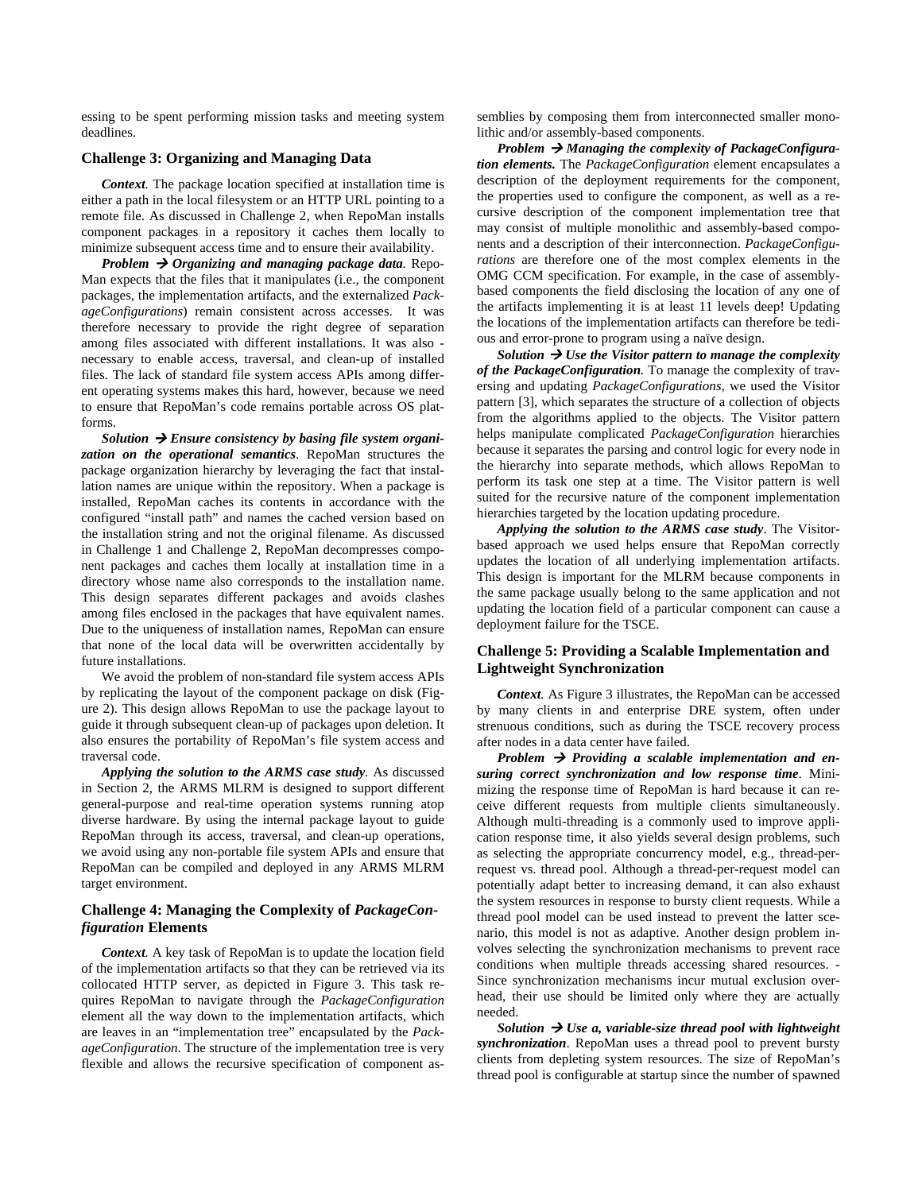essing to be spent performing mission tasks and meeting system deadlines.

#### **Challenge 3: Organizing and Managing Data**

*Context.* The package location specified at installation time is either a path in the local filesystem or an HTTP URL pointing to a remote file. As discussed in Challenge 2, when RepoMan installs component packages in a repository it caches them locally to minimize subsequent access time and to ensure their availability.

*Problem*  $\rightarrow$  *Organizing and managing package data.* Repo-Man expects that the files that it manipulates (i.e., the component packages, the implementation artifacts, and the externalized *PackageConfigurations*) remain consistent across accesses. It was therefore necessary to provide the right degree of separation among files associated with different installations. It was also necessary to enable access, traversal, and clean-up of installed files. The lack of standard file system access APIs among different operating systems makes this hard, however, because we need to ensure that RepoMan's code remains portable across OS platforms.

*Solution*  $\rightarrow$  *Ensure consistency by basing file system organization on the operational semantics*. RepoMan structures the package organization hierarchy by leveraging the fact that installation names are unique within the repository. When a package is installed, RepoMan caches its contents in accordance with the configured "install path" and names the cached version based on the installation string and not the original filename. As discussed in Challenge 1 and Challenge 2, RepoMan decompresses component packages and caches them locally at installation time in a directory whose name also corresponds to the installation name. This design separates different packages and avoids clashes among files enclosed in the packages that have equivalent names. Due to the uniqueness of installation names, RepoMan can ensure that none of the local data will be overwritten accidentally by future installations.

We avoid the problem of non-standard file system access APIs by replicating the layout of the component package on disk (Figure 2). This design allows RepoMan to use the package layout to guide it through subsequent clean-up of packages upon deletion. It also ensures the portability of RepoMan's file system access and traversal code.

*Applying the solution to the ARMS case study.* As discussed in Section 2, the ARMS MLRM is designed to support different general-purpose and real-time operation systems running atop diverse hardware. By using the internal package layout to guide RepoMan through its access, traversal, and clean-up operations, we avoid using any non-portable file system APIs and ensure that RepoMan can be compiled and deployed in any ARMS MLRM target environment.

#### **Challenge 4: Managing the Complexity of** *PackageConfiguration* **Elements**

*Context.* A key task of RepoMan is to update the location field of the implementation artifacts so that they can be retrieved via its collocated HTTP server, as depicted in Figure 3. This task requires RepoMan to navigate through the *PackageConfiguration* element all the way down to the implementation artifacts, which are leaves in an "implementation tree" encapsulated by the *PackageConfiguration*. The structure of the implementation tree is very flexible and allows the recursive specification of component assemblies by composing them from interconnected smaller monolithic and/or assembly-based components.

*Problem > Managing the complexity of PackageConfiguration elements.* The *PackageConfiguration* element encapsulates a description of the deployment requirements for the component, the properties used to configure the component, as well as a recursive description of the component implementation tree that may consist of multiple monolithic and assembly-based components and a description of their interconnection. *PackageConfigurations* are therefore one of the most complex elements in the OMG CCM specification. For example, in the case of assemblybased components the field disclosing the location of any one of the artifacts implementing it is at least 11 levels deep! Updating the locations of the implementation artifacts can therefore be tedious and error-prone to program using a naïve design.

*Solution*  $\rightarrow$  *Use the Visitor pattern to manage the complexity of the PackageConfiguration.* To manage the complexity of traversing and updating *PackageConfigurations*, we used the Visitor pattern [3], which separates the structure of a collection of objects from the algorithms applied to the objects. The Visitor pattern helps manipulate complicated *PackageConfiguration* hierarchies because it separates the parsing and control logic for every node in the hierarchy into separate methods, which allows RepoMan to perform its task one step at a time. The Visitor pattern is well suited for the recursive nature of the component implementation hierarchies targeted by the location updating procedure.

*Applying the solution to the ARMS case study*. The Visitorbased approach we used helps ensure that RepoMan correctly updates the location of all underlying implementation artifacts. This design is important for the MLRM because components in the same package usually belong to the same application and not updating the location field of a particular component can cause a deployment failure for the TSCE.

#### **Challenge 5: Providing a Scalable Implementation and Lightweight Synchronization**

*Context.* As Figure 3 illustrates, the RepoMan can be accessed by many clients in and enterprise DRE system, often under strenuous conditions, such as during the TSCE recovery process after nodes in a data center have failed.

*Problem*  $\rightarrow$  *Providing a scalable implementation and ensuring correct synchronization and low response time*. Minimizing the response time of RepoMan is hard because it can receive different requests from multiple clients simultaneously. Although multi-threading is a commonly used to improve application response time, it also yields several design problems, such as selecting the appropriate concurrency model, e.g., thread-perrequest vs. thread pool. Although a thread-per-request model can potentially adapt better to increasing demand, it can also exhaust the system resources in response to bursty client requests. While a thread pool model can be used instead to prevent the latter scenario, this model is not as adaptive. Another design problem involves selecting the synchronization mechanisms to prevent race conditions when multiple threads accessing shared resources. - Since synchronization mechanisms incur mutual exclusion overhead, their use should be limited only where they are actually needed.

*Solution*  $\rightarrow$  *Use a, variable-size thread pool with lightweight synchronization*. RepoMan uses a thread pool to prevent bursty clients from depleting system resources. The size of RepoMan's thread pool is configurable at startup since the number of spawned